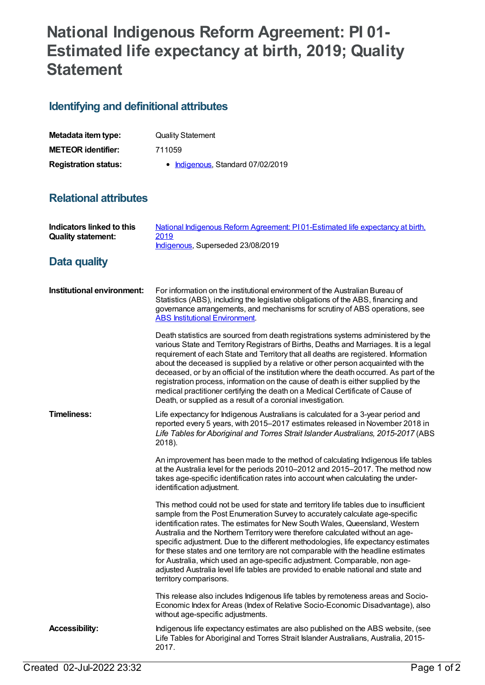# **National Indigenous Reform Agreement: PI 01- Estimated life expectancy at birth, 2019; Quality Statement**

## **Identifying and definitional attributes**

| Metadata item type:         | <b>Quality Statement</b>          |
|-----------------------------|-----------------------------------|
| <b>METEOR identifier:</b>   | 711059                            |
| <b>Registration status:</b> | • Indigenous, Standard 07/02/2019 |

#### **Relational attributes**

| Indicators linked to this<br><b>Quality statement:</b> | National Indigenous Reform Agreement: PI01-Estimated life expectancy at birth,<br>2019<br>Indigenous, Superseded 23/08/2019                                                                                                                                                                                                                                                                                                                                                                                                                                                                                                                                                                                      |
|--------------------------------------------------------|------------------------------------------------------------------------------------------------------------------------------------------------------------------------------------------------------------------------------------------------------------------------------------------------------------------------------------------------------------------------------------------------------------------------------------------------------------------------------------------------------------------------------------------------------------------------------------------------------------------------------------------------------------------------------------------------------------------|
| Data quality                                           |                                                                                                                                                                                                                                                                                                                                                                                                                                                                                                                                                                                                                                                                                                                  |
| Institutional environment:                             | For information on the institutional environment of the Australian Bureau of<br>Statistics (ABS), including the legislative obligations of the ABS, financing and<br>governance arrangements, and mechanisms for scrutiny of ABS operations, see<br><b>ABS Institutional Environment.</b>                                                                                                                                                                                                                                                                                                                                                                                                                        |
|                                                        | Death statistics are sourced from death registrations systems administered by the<br>various State and Territory Registrars of Births, Deaths and Marriages. It is a legal<br>requirement of each State and Territory that all deaths are registered. Information<br>about the deceased is supplied by a relative or other person acquainted with the<br>deceased, or by an official of the institution where the death occurred. As part of the<br>registration process, information on the cause of death is either supplied by the<br>medical practitioner certifying the death on a Medical Certificate of Cause of<br>Death, or supplied as a result of a coronial investigation.                           |
| <b>Timeliness:</b>                                     | Life expectancy for Indigenous Australians is calculated for a 3-year period and<br>reported every 5 years, with 2015-2017 estimates released in November 2018 in<br>Life Tables for Aboriginal and Torres Strait Islander Australians, 2015-2017 (ABS<br>2018).                                                                                                                                                                                                                                                                                                                                                                                                                                                 |
|                                                        | An improvement has been made to the method of calculating Indigenous life tables<br>at the Australia level for the periods 2010-2012 and 2015-2017. The method now<br>takes age-specific identification rates into account when calculating the under-<br>identification adjustment.                                                                                                                                                                                                                                                                                                                                                                                                                             |
|                                                        | This method could not be used for state and territory life tables due to insufficient<br>sample from the Post Enumeration Survey to accurately calculate age-specific<br>identification rates. The estimates for New South Wales, Queensland, Western<br>Australia and the Northern Territory were therefore calculated without an age-<br>specific adjustment. Due to the different methodologies, life expectancy estimates<br>for these states and one territory are not comparable with the headline estimates<br>for Australia, which used an age-specific adjustment. Comparable, non age-<br>adjusted Australia level life tables are provided to enable national and state and<br>territory comparisons. |
|                                                        | This release also includes Indigenous life tables by remoteness areas and Socio-<br>Economic Index for Areas (Index of Relative Socio-Economic Disadvantage), also<br>without age-specific adjustments.                                                                                                                                                                                                                                                                                                                                                                                                                                                                                                          |
| <b>Accessibility:</b>                                  | Indigenous life expectancy estimates are also published on the ABS website, (see<br>Life Tables for Aboriginal and Torres Strait Islander Australians, Australia, 2015-<br>2017.                                                                                                                                                                                                                                                                                                                                                                                                                                                                                                                                 |